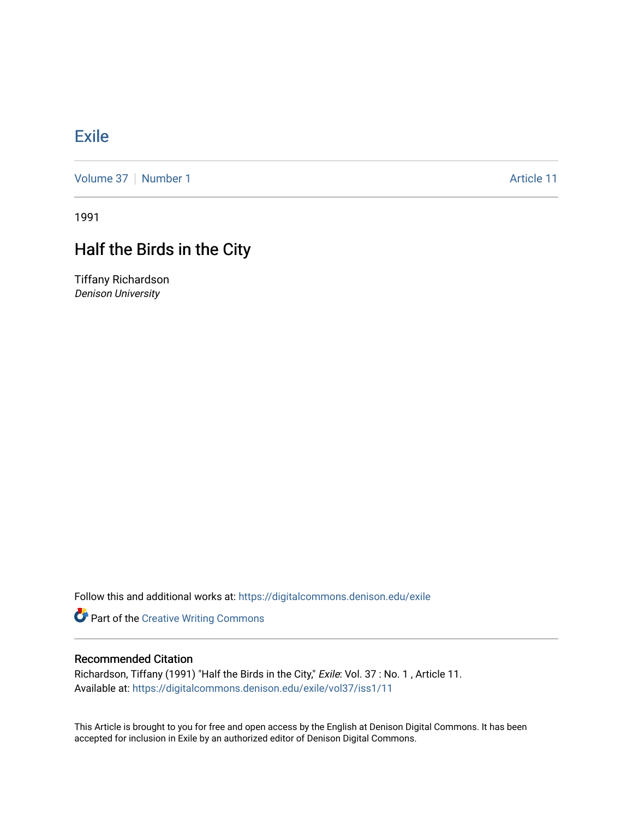## [Exile](https://digitalcommons.denison.edu/exile)

[Volume 37](https://digitalcommons.denison.edu/exile/vol37) [Number 1](https://digitalcommons.denison.edu/exile/vol37/iss1) Article 11

1991

# Half the Birds in the City

Tiffany Richardson Denison University

Follow this and additional works at: [https://digitalcommons.denison.edu/exile](https://digitalcommons.denison.edu/exile?utm_source=digitalcommons.denison.edu%2Fexile%2Fvol37%2Fiss1%2F11&utm_medium=PDF&utm_campaign=PDFCoverPages) 

**Part of the Creative Writing Commons** 

### Recommended Citation

Richardson, Tiffany (1991) "Half the Birds in the City," Exile: Vol. 37 : No. 1 , Article 11. Available at: [https://digitalcommons.denison.edu/exile/vol37/iss1/11](https://digitalcommons.denison.edu/exile/vol37/iss1/11?utm_source=digitalcommons.denison.edu%2Fexile%2Fvol37%2Fiss1%2F11&utm_medium=PDF&utm_campaign=PDFCoverPages)

This Article is brought to you for free and open access by the English at Denison Digital Commons. It has been accepted for inclusion in Exile by an authorized editor of Denison Digital Commons.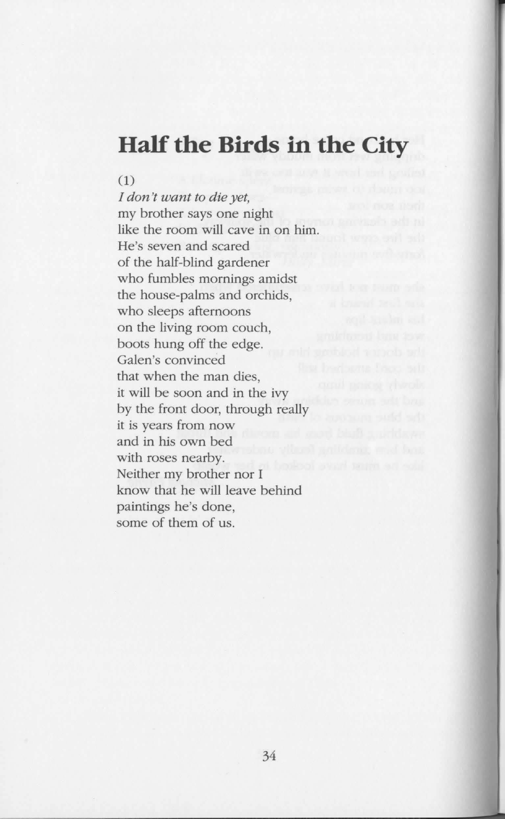## **Half the Birds in the City**

#### (1)

*I don't want to die yet,*  my brother says one night like the room will cave in on him. He's seven and scared of the half-blind gardener who fumbles mornings amidst the house-palms and orchids, who sleeps afternoons on the living room couch, boots hung off the edge. Galen's convinced that when the man dies, it will be soon and in the ivy by the front door, through really it is years from now and in his own bed with roses nearby. Neither my brother nor I know that he will leave behind paintings he's done, some of them of us.